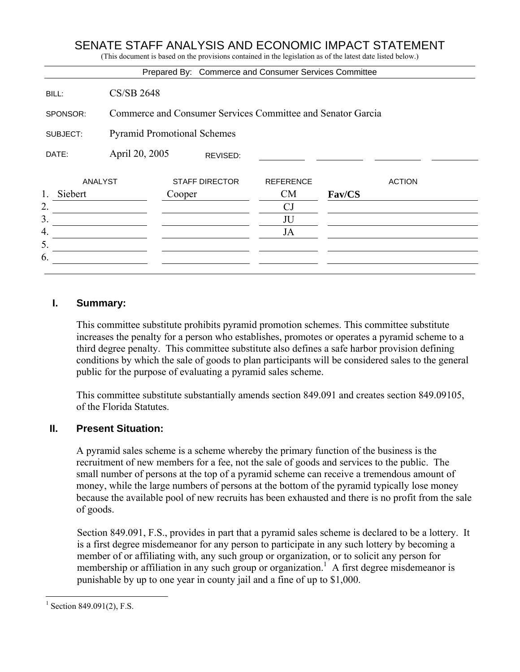# SENATE STAFF ANALYSIS AND ECONOMIC IMPACT STATEMENT

(This document is based on the provisions contained in the legislation as of the latest date listed below.)

#### **I. Summary:**

This committee substitute prohibits pyramid promotion schemes. This committee substitute increases the penalty for a person who establishes, promotes or operates a pyramid scheme to a third degree penalty. This committee substitute also defines a safe harbor provision defining conditions by which the sale of goods to plan participants will be considered sales to the general public for the purpose of evaluating a pyramid sales scheme.

This committee substitute substantially amends section 849.091 and creates section 849.09105, of the Florida Statutes.

#### **II. Present Situation:**

A pyramid sales scheme is a scheme whereby the primary function of the business is the recruitment of new members for a fee, not the sale of goods and services to the public. The small number of persons at the top of a pyramid scheme can receive a tremendous amount of money, while the large numbers of persons at the bottom of the pyramid typically lose money because the available pool of new recruits has been exhausted and there is no profit from the sale of goods.

Section 849.091, F.S., provides in part that a pyramid sales scheme is declared to be a lottery. It is a first degree misdemeanor for any person to participate in any such lottery by becoming a member of or affiliating with, any such group or organization, or to solicit any person for membership or affiliation in any such group or organization.<sup>1</sup> A first degree misdemeanor is punishable by up to one year in county jail and a fine of up to \$1,000.

 $\overline{a}$ 

<sup>&</sup>lt;sup>1</sup> Section 849.091(2), F.S.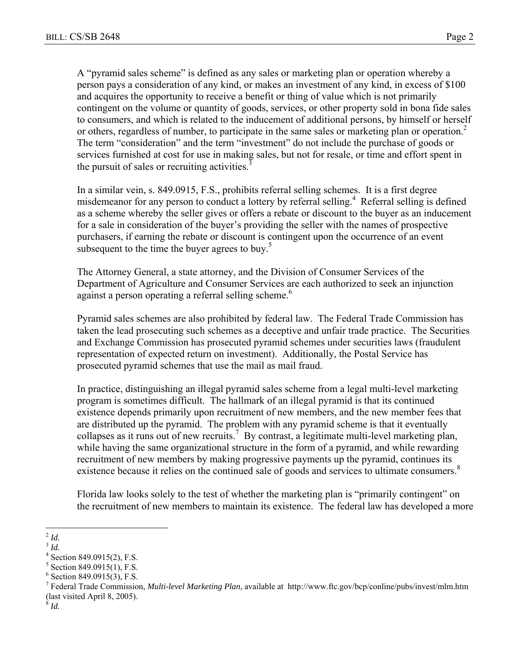A "pyramid sales scheme" is defined as any sales or marketing plan or operation whereby a person pays a consideration of any kind, or makes an investment of any kind, in excess of \$100 and acquires the opportunity to receive a benefit or thing of value which is not primarily contingent on the volume or quantity of goods, services, or other property sold in bona fide sales to consumers, and which is related to the inducement of additional persons, by himself or herself or others, regardless of number, to participate in the same sales or marketing plan or operation.<sup>2</sup> The term "consideration" and the term "investment" do not include the purchase of goods or services furnished at cost for use in making sales, but not for resale, or time and effort spent in the pursuit of sales or recruiting activities. $\frac{3}{2}$ 

In a similar vein, s. 849.0915, F.S., prohibits referral selling schemes. It is a first degree misdemeanor for any person to conduct a lottery by referral selling.<sup>4</sup> Referral selling is defined as a scheme whereby the seller gives or offers a rebate or discount to the buyer as an inducement for a sale in consideration of the buyer's providing the seller with the names of prospective purchasers, if earning the rebate or discount is contingent upon the occurrence of an event subsequent to the time the buyer agrees to buy.<sup>5</sup>

The Attorney General, a state attorney, and the Division of Consumer Services of the Department of Agriculture and Consumer Services are each authorized to seek an injunction against a person operating a referral selling scheme.<sup>6</sup>

Pyramid sales schemes are also prohibited by federal law. The Federal Trade Commission has taken the lead prosecuting such schemes as a deceptive and unfair trade practice. The Securities and Exchange Commission has prosecuted pyramid schemes under securities laws (fraudulent representation of expected return on investment). Additionally, the Postal Service has prosecuted pyramid schemes that use the mail as mail fraud.

In practice, distinguishing an illegal pyramid sales scheme from a legal multi-level marketing program is sometimes difficult. The hallmark of an illegal pyramid is that its continued existence depends primarily upon recruitment of new members, and the new member fees that are distributed up the pyramid. The problem with any pyramid scheme is that it eventually collapses as it runs out of new recruits.<sup>7</sup> By contrast, a legitimate multi-level marketing plan, while having the same organizational structure in the form of a pyramid, and while rewarding recruitment of new members by making progressive payments up the pyramid, continues its existence because it relies on the continued sale of goods and services to ultimate consumers.<sup>8</sup>

Florida law looks solely to the test of whether the marketing plan is "primarily contingent" on the recruitment of new members to maintain its existence. The federal law has developed a more

 $\overline{a}$ 

<sup>3</sup> *Id.* 

<sup>8</sup> *Id.*

<sup>2</sup> *Id.*

<sup>4</sup> Section 849.0915(2), F.S.

 $5$  Section 849.0915(1), F.S.

 $6$  Section 849.0915(3), F.S.

<sup>7</sup> Federal Trade Commission, *Multi-level Marketing Plan*, available at http://www.ftc.gov/bcp/conline/pubs/invest/mlm.htm (last visited April 8, 2005).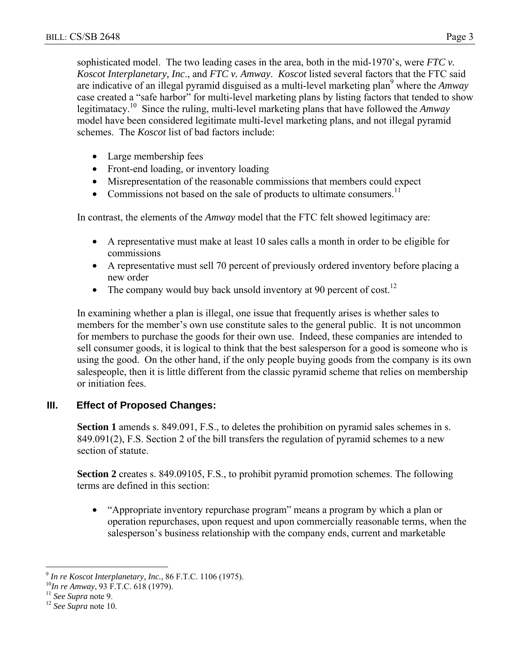sophisticated model. The two leading cases in the area, both in the mid-1970's, were *FTC v. Koscot Interplanetary, Inc*., and *FTC v. Amway*. *Koscot* listed several factors that the FTC said are indicative of an illegal pyramid disguised as a multi-level marketing plan<sup>9</sup> where the *Amway* case created a "safe harbor" for multi-level marketing plans by listing factors that tended to show legitimatacy.10 Since the ruling, multi-level marketing plans that have followed the *Amway* model have been considered legitimate multi-level marketing plans, and not illegal pyramid schemes. The *Koscot* list of bad factors include:

- Large membership fees
- Front-end loading, or inventory loading
- Misrepresentation of the reasonable commissions that members could expect
- Commissions not based on the sale of products to ultimate consumers.<sup>11</sup>

In contrast, the elements of the *Amway* model that the FTC felt showed legitimacy are:

- A representative must make at least 10 sales calls a month in order to be eligible for commissions
- A representative must sell 70 percent of previously ordered inventory before placing a new order
- The company would buy back unsold inventory at 90 percent of cost.<sup>12</sup>

In examining whether a plan is illegal, one issue that frequently arises is whether sales to members for the member's own use constitute sales to the general public. It is not uncommon for members to purchase the goods for their own use. Indeed, these companies are intended to sell consumer goods, it is logical to think that the best salesperson for a good is someone who is using the good. On the other hand, if the only people buying goods from the company is its own salespeople, then it is little different from the classic pyramid scheme that relies on membership or initiation fees.

# **III. Effect of Proposed Changes:**

**Section 1** amends s. 849.091, F.S., to deletes the prohibition on pyramid sales schemes in s. 849.091(2), F.S. Section 2 of the bill transfers the regulation of pyramid schemes to a new section of statute.

**Section 2** creates s. 849.09105, F.S., to prohibit pyramid promotion schemes. The following terms are defined in this section:

• "Appropriate inventory repurchase program" means a program by which a plan or operation repurchases, upon request and upon commercially reasonable terms, when the salesperson's business relationship with the company ends, current and marketable

 $\overline{a}$ 

<sup>&</sup>lt;sup>9</sup> *In re Koscot Interplanetary, Inc.*, 86 F.T.C. 1106 (1975).<br><sup>10</sup>*In re Amway*, 93 F.T.C. 618 (1979).<br><sup>11</sup> *See Supra* note 9. <sup>12</sup> *See Supra* note 10.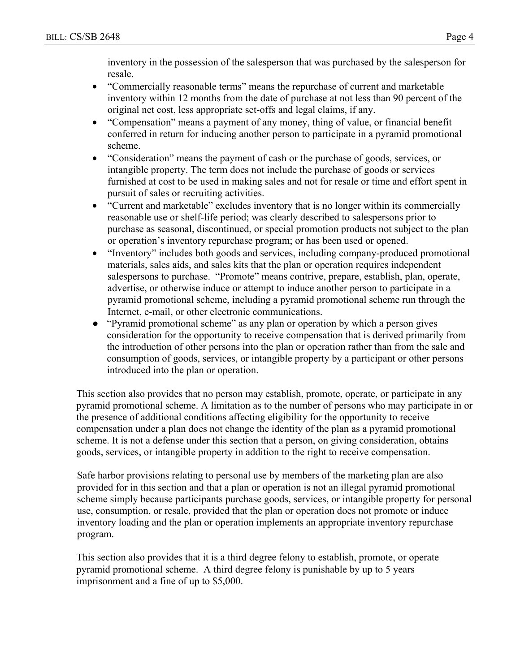inventory in the possession of the salesperson that was purchased by the salesperson for resale.

- "Commercially reasonable terms" means the repurchase of current and marketable inventory within 12 months from the date of purchase at not less than 90 percent of the original net cost, less appropriate set-offs and legal claims, if any.
- "Compensation" means a payment of any money, thing of value, or financial benefit conferred in return for inducing another person to participate in a pyramid promotional scheme.
- "Consideration" means the payment of cash or the purchase of goods, services, or intangible property. The term does not include the purchase of goods or services furnished at cost to be used in making sales and not for resale or time and effort spent in pursuit of sales or recruiting activities.
- "Current and marketable" excludes inventory that is no longer within its commercially reasonable use or shelf-life period; was clearly described to salespersons prior to purchase as seasonal, discontinued, or special promotion products not subject to the plan or operation's inventory repurchase program; or has been used or opened.
- "Inventory" includes both goods and services, including company-produced promotional materials, sales aids, and sales kits that the plan or operation requires independent salespersons to purchase. "Promote" means contrive, prepare, establish, plan, operate, advertise, or otherwise induce or attempt to induce another person to participate in a pyramid promotional scheme, including a pyramid promotional scheme run through the Internet, e-mail, or other electronic communications.
- "Pyramid promotional scheme" as any plan or operation by which a person gives consideration for the opportunity to receive compensation that is derived primarily from the introduction of other persons into the plan or operation rather than from the sale and consumption of goods, services, or intangible property by a participant or other persons introduced into the plan or operation.

This section also provides that no person may establish, promote, operate, or participate in any pyramid promotional scheme. A limitation as to the number of persons who may participate in or the presence of additional conditions affecting eligibility for the opportunity to receive compensation under a plan does not change the identity of the plan as a pyramid promotional scheme. It is not a defense under this section that a person, on giving consideration, obtains goods, services, or intangible property in addition to the right to receive compensation.

Safe harbor provisions relating to personal use by members of the marketing plan are also provided for in this section and that a plan or operation is not an illegal pyramid promotional scheme simply because participants purchase goods, services, or intangible property for personal use, consumption, or resale, provided that the plan or operation does not promote or induce inventory loading and the plan or operation implements an appropriate inventory repurchase program.

This section also provides that it is a third degree felony to establish, promote, or operate pyramid promotional scheme. A third degree felony is punishable by up to 5 years imprisonment and a fine of up to \$5,000.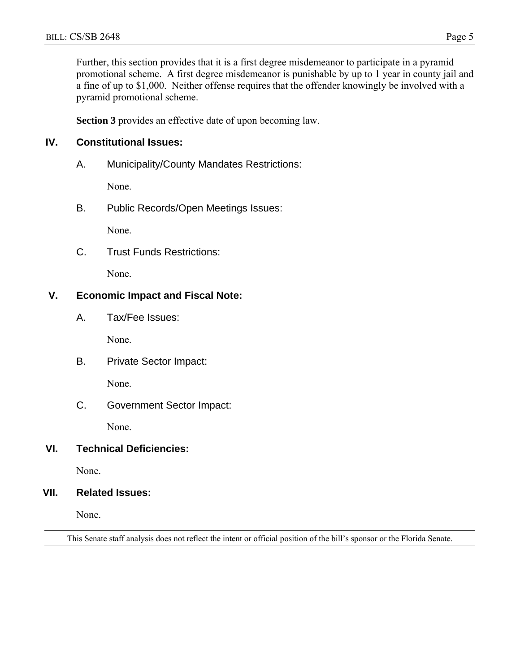Further, this section provides that it is a first degree misdemeanor to participate in a pyramid promotional scheme. A first degree misdemeanor is punishable by up to 1 year in county jail and a fine of up to \$1,000. Neither offense requires that the offender knowingly be involved with a pyramid promotional scheme.

**Section 3** provides an effective date of upon becoming law.

#### **IV. Constitutional Issues:**

A. Municipality/County Mandates Restrictions:

None.

B. Public Records/Open Meetings Issues:

None.

C. Trust Funds Restrictions:

None.

# **V. Economic Impact and Fiscal Note:**

A. Tax/Fee Issues:

None.

B. Private Sector Impact:

None.

C. Government Sector Impact:

None.

### **VI. Technical Deficiencies:**

None.

#### **VII. Related Issues:**

None.

This Senate staff analysis does not reflect the intent or official position of the bill's sponsor or the Florida Senate.